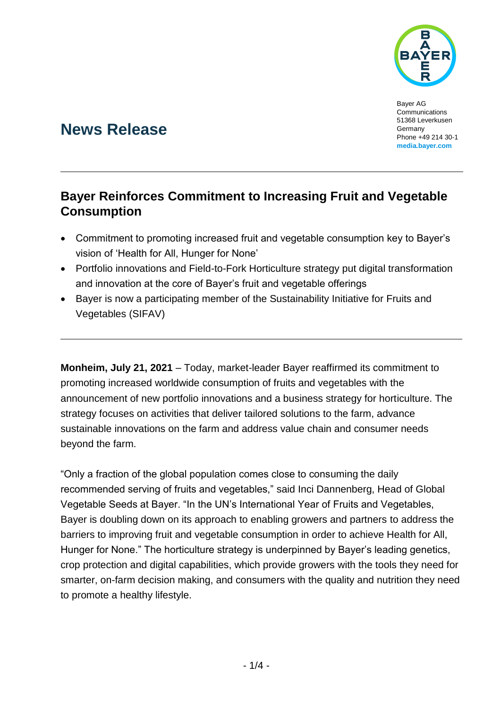

Bayer AG **Communications** 51368 Leverkusen Germany Phone +49 214 30-1 **[media.bayer.com](http://media.bayer.com/)**

# **News Release**

## **Bayer Reinforces Commitment to Increasing Fruit and Vegetable Consumption**

- Commitment to promoting increased fruit and vegetable consumption key to Bayer's vision of 'Health for All, Hunger for None'
- Portfolio innovations and Field-to-Fork Horticulture strategy put digital transformation and innovation at the core of Bayer's fruit and vegetable offerings
- Bayer is now a participating member of the Sustainability Initiative for Fruits and Vegetables (SIFAV)

**Monheim, July 21, 2021** – Today, market-leader Bayer reaffirmed its commitment to promoting increased worldwide consumption of fruits and vegetables with the announcement of new portfolio innovations and a business strategy for horticulture. The strategy focuses on activities that deliver tailored solutions to the farm, advance sustainable innovations on the farm and address value chain and consumer needs beyond the farm.

"Only a fraction of the global population comes close to consuming the daily recommended serving of fruits and vegetables," said Inci Dannenberg, Head of Global Vegetable Seeds at Bayer. "In the UN's International Year of Fruits and Vegetables, Bayer is doubling down on its approach to enabling growers and partners to address the barriers to improving fruit and vegetable consumption in order to achieve Health for All, Hunger for None." The horticulture strategy is underpinned by Bayer's leading genetics, crop protection and digital capabilities, which provide growers with the tools they need for smarter, on-farm decision making, and consumers with the quality and nutrition they need to promote a healthy lifestyle.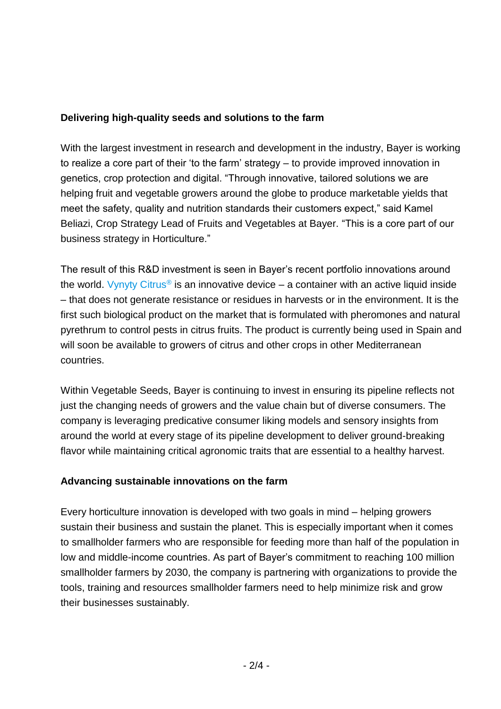#### **Delivering high-quality seeds and solutions to the farm**

With the largest investment in research and development in the industry, Bayer is working to realize a core part of their 'to the farm' strategy – to provide improved innovation in genetics, crop protection and digital. "Through innovative, tailored solutions we are helping fruit and vegetable growers around the globe to produce marketable yields that meet the safety, quality and nutrition standards their customers expect," said Kamel Beliazi, Crop Strategy Lead of Fruits and Vegetables at Bayer. "This is a core part of our business strategy in Horticulture."

The result of this R&D investment is seen in Bayer's recent portfolio innovations around the world. [Vynyty Citrus](https://media.bayer.com/baynews/baynews.nsf/id/Bayer-launch-Vanity-Citrus-newest-biological-product-control-citrus-pests-during-virtual-symposium)<sup>®</sup> is an innovative device – a container with an active liquid inside – that does not generate resistance or residues in harvests or in the environment. It is the first such biological product on the market that is formulated with pheromones and natural pyrethrum to control pests in citrus fruits. The product is currently being used in Spain and will soon be available to growers of citrus and other crops in other Mediterranean countries.

Within Vegetable Seeds, Bayer is continuing to invest in ensuring its pipeline reflects not just the changing needs of growers and the value chain but of diverse consumers. The company is leveraging predicative consumer liking models and sensory insights from around the world at every stage of its pipeline development to deliver ground-breaking flavor while maintaining critical agronomic traits that are essential to a healthy harvest.

#### **Advancing sustainable innovations on the farm**

Every horticulture innovation is developed with two goals in mind – helping growers sustain their business and sustain the planet. This is especially important when it comes to smallholder farmers who are responsible for feeding more than half of the population in low and middle-income countries. As part of Bayer's commitment to reaching 100 million smallholder farmers by 2030, the company is partnering with organizations to provide the tools, training and resources smallholder farmers need to help minimize risk and grow their businesses sustainably.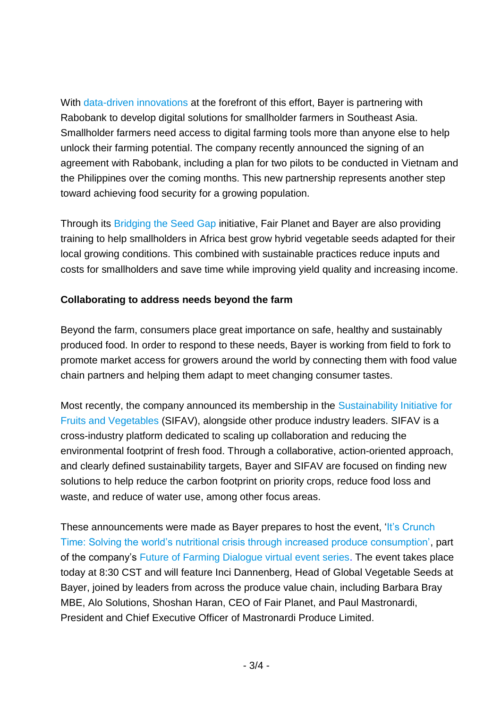With [data-driven innovations](https://www.cropscience.bayer.com/innovations/data-science) at the forefront of this effort, Bayer is partnering with Rabobank to develop digital solutions for smallholder farmers in Southeast Asia. Smallholder farmers need access to digital farming tools more than anyone else to help unlock their farming potential. The company recently announced the signing of an agreement with Rabobank, including a plan for two pilots to be conducted in Vietnam and the Philippines over the coming months. This new partnership represents another step toward achieving food security for a growing population.

Through its [Bridging the Seed Gap](https://www.fairplanet.ngo/solution) initiative, Fair Planet and Bayer are also providing training to help smallholders in Africa best grow hybrid vegetable seeds adapted for their local growing conditions. This combined with sustainable practices reduce inputs and costs for smallholders and save time while improving yield quality and increasing income.

### **Collaborating to address needs beyond the farm**

Beyond the farm, consumers place great importance on safe, healthy and sustainably produced food. In order to respond to these needs, Bayer is working from field to fork to promote market access for growers around the world by connecting them with food value chain partners and helping them adapt to meet changing consumer tastes.

Most recently, the company announced its membership in the [Sustainability Initiative for](https://www.idhsustainabletrade.com/initiative/sifav2025/)  [Fruits and Vegetables](https://www.idhsustainabletrade.com/initiative/sifav2025/) (SIFAV), alongside other produce industry leaders. SIFAV is a cross-industry platform dedicated to scaling up collaboration and reducing the environmental footprint of fresh food. Through a collaborative, action-oriented approach, and clearly defined sustainability targets, Bayer and SIFAV are focused on finding new solutions to help reduce the carbon footprint on priority crops, reduce food loss and waste, and reduce of water use, among other focus areas.

These announcements were made as Bayer prepares to host the event, 'It's Crunch [Time: Solving the world's nutritional crisis through increased produce consumption',](https://www.cropscience.bayer.com/who-we-are/events/a/solving-the-worlds-nutritional-crisis-through-produce-consumption) part of the company's [Future of Farming Dialogue virtual event series.](https://www.cropscience.bayer.com/who-we-are/events/future-farming-dialogue) The event takes place today at 8:30 CST and will feature Inci Dannenberg, Head of Global Vegetable Seeds at Bayer, joined by leaders from across the produce value chain, including Barbara Bray MBE, Alo Solutions, Shoshan Haran, CEO of Fair Planet, and Paul Mastronardi, President and Chief Executive Officer of Mastronardi Produce Limited.